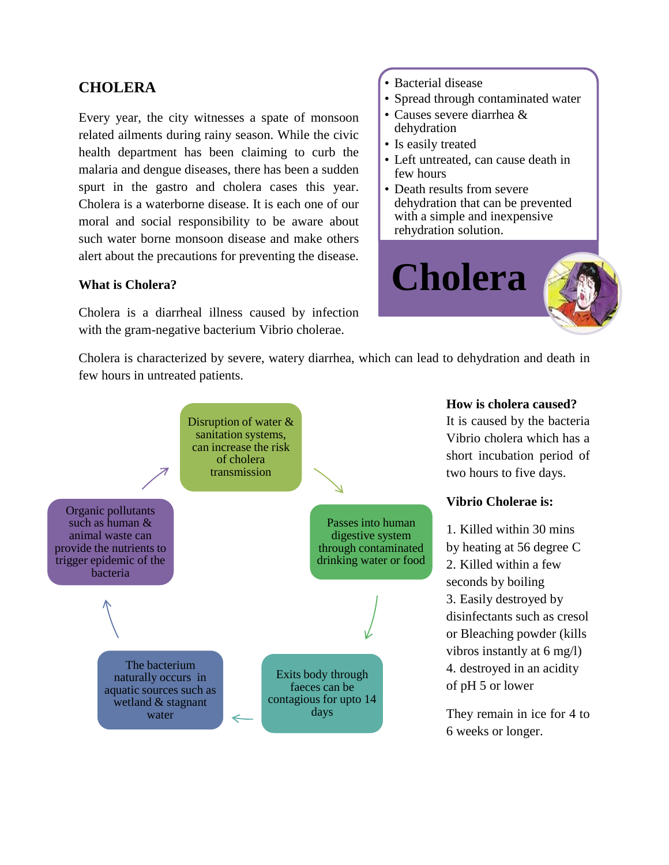# **CHOLERA**

Every year, the city witnesses a spate of monsoon related ailments during rainy season. While the civic health department has been claiming to curb the malaria and dengue diseases, there has been a sudden spurt in the gastro and cholera cases this year. Cholera is a waterborne disease. It is each one of our moral and social responsibility to be aware about such water borne monsoon disease and make others alert about the precautions for preventing the disease.

### **What is Cholera?**

Cholera is a diarrheal illness caused by infection with the gram-negative bacterium Vibrio cholerae.

#### • Bacterial disease

- Spread through contaminated water
- Causes severe diarrhea & dehydration
- Is easily treated
- Left untreated, can cause death in few hours
- Death results from severe dehydration that can be prevented with a simple and inexpensive rehydration solution.



Cholera is characterized by severe, watery diarrhea, which can lead to dehydration and death in few hours in untreated patients.



#### **How is cholera caused?**

It is caused by the bacteria Vibrio cholera which has a short incubation period of two hours to five days.

#### **Vibrio Cholerae is:**

1. Killed within 30 mins by heating at 56 degree C 2. Killed within a few seconds by boiling 3. Easily destroyed by disinfectants such as cresol or Bleaching powder (kills vibros instantly at 6 mg/l) 4. destroyed in an acidity of pH 5 or lower

They remain in ice for 4 to 6 weeks or longer.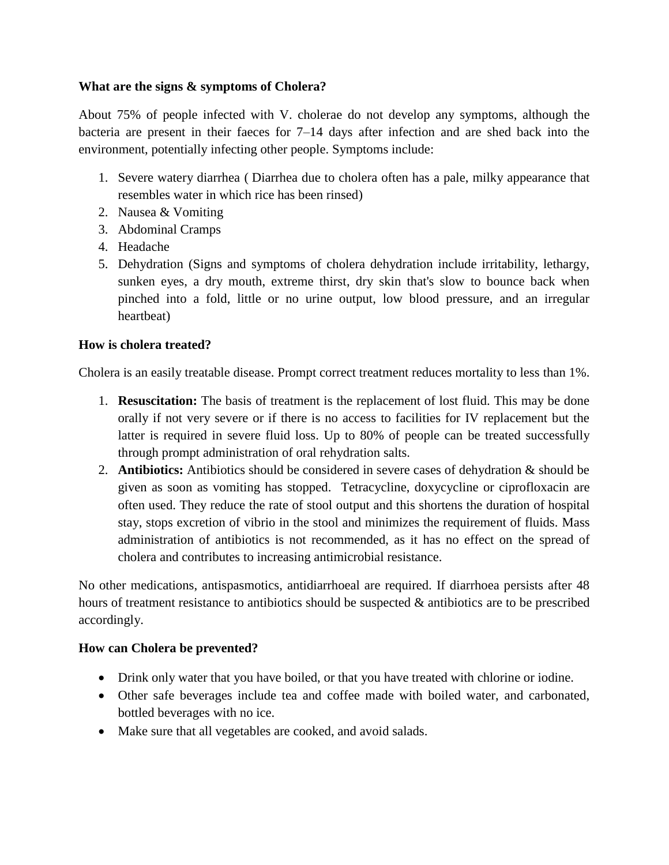## **What are the signs & symptoms of Cholera?**

About 75% of people infected with V. cholerae do not develop any symptoms, although the bacteria are present in their faeces for 7–14 days after infection and are shed back into the environment, potentially infecting other people. Symptoms include:

- 1. Severe watery diarrhea ( Diarrhea due to cholera often has a pale, milky appearance that resembles water in which rice has been rinsed)
- 2. Nausea & Vomiting
- 3. Abdominal Cramps
- 4. Headache
- 5. Dehydration (Signs and symptoms of cholera dehydration include irritability, lethargy, sunken eyes, a dry mouth, extreme thirst, dry skin that's slow to bounce back when pinched into a fold, little or no urine output, low blood pressure, and an irregular heartbeat)

## **How is cholera treated?**

Cholera is an easily treatable disease. Prompt correct treatment reduces mortality to less than 1%.

- 1. **Resuscitation:** The basis of treatment is the replacement of lost fluid. This may be done orally if not very severe or if there is no access to facilities for IV replacement but the latter is required in severe fluid loss. Up to 80% of people can be treated successfully through prompt administration of oral rehydration salts.
- 2. **Antibiotics:** Antibiotics should be considered in severe cases of dehydration & should be given as soon as vomiting has stopped. Tetracycline, doxycycline or ciprofloxacin are often used. They reduce the rate of stool output and this shortens the duration of hospital stay, stops excretion of vibrio in the stool and minimizes the requirement of fluids. Mass administration of antibiotics is not recommended, as it has no effect on the spread of cholera and contributes to increasing antimicrobial resistance.

No other medications, antispasmotics, antidiarrhoeal are required. If diarrhoea persists after 48 hours of treatment resistance to antibiotics should be suspected & antibiotics are to be prescribed accordingly.

### **How can Cholera be prevented?**

- Drink only water that you have boiled, or that you have treated with chlorine or iodine.
- Other safe beverages include tea and coffee made with boiled water, and carbonated, bottled beverages with no ice.
- Make sure that all vegetables are cooked, and avoid salads.